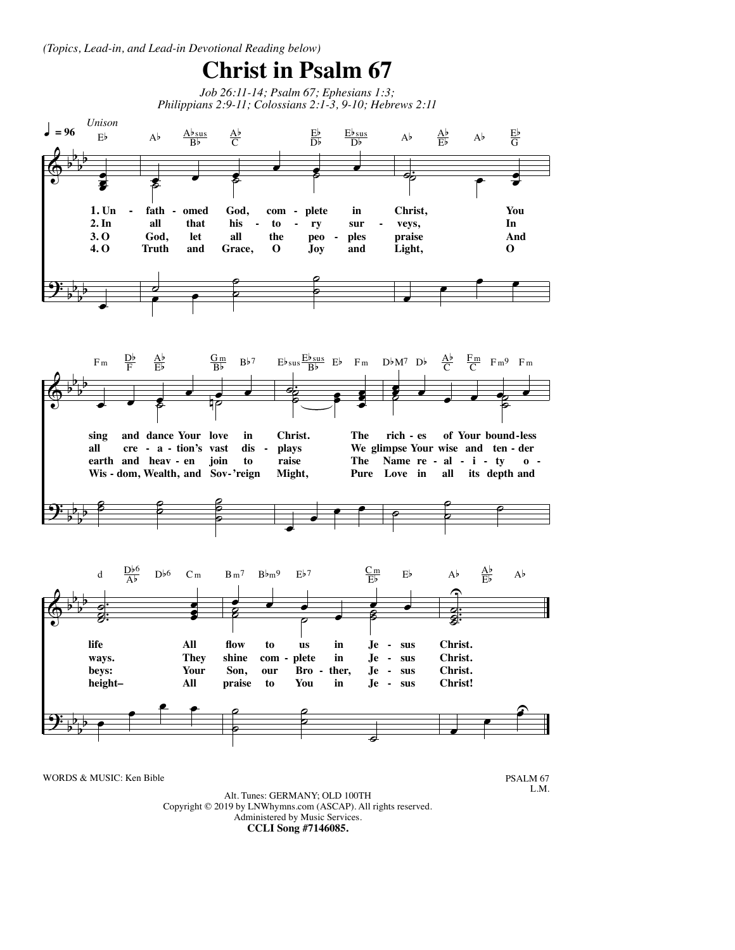## **Christ in Psalm 67**

*Job 26:11-14; Psalm 67; Ephesians 1:3; Philippians 2:9-11; Colossians 2:1-3, 9-10; Hebrews 2:11*



WORDS & MUSIC: Ken Bible

PSALM 67 L.M.

Alt. Tunes: GERMANY; OLD 100TH Copyright © 2019 by LNWhymns.com (ASCAP). All rights reserved. Administered by Music Services. **CCLI Song #7146085.**